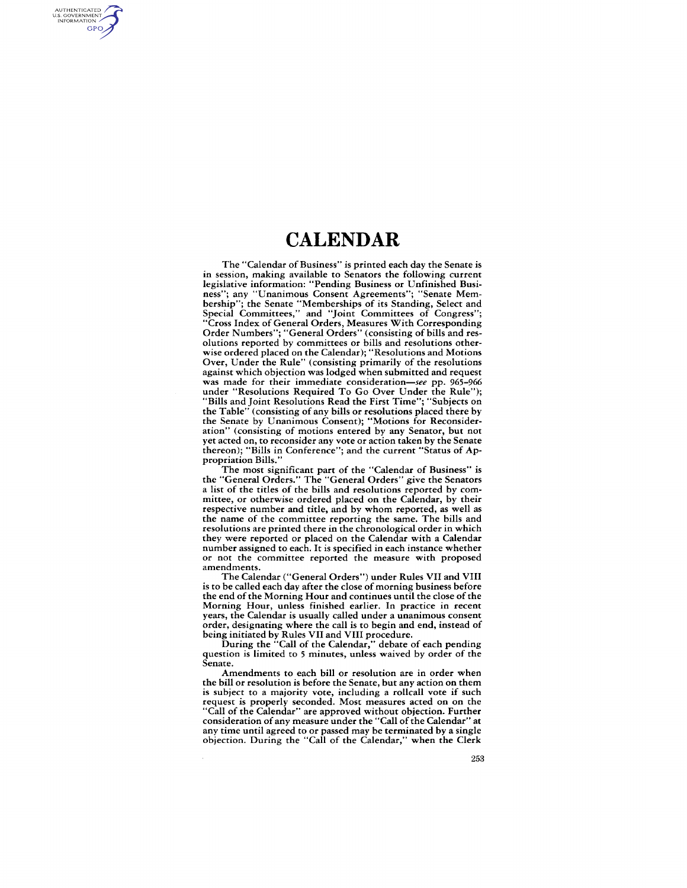AUTHENTICATED<br>U.S. GOVERNMENT<br>INFORMATION **GPO** 

> The "Calendar of Business" is printed each day the Senate is in session, making available to Senators the following current legislative information: "Pending Business or Unfinished Business"; any "Unanimous Consent Agreements"; "Senate Membership"; the Senate "Memberships of its Standing, Select and Special Committees," and "Joint Committees of Congress"; "Cross Index of General Orders, Measures With Corresponding Order Numbers"; "General Orders" (consisting of bills and resolutions reported by committees or bills and resolutions otherwise ordered placed on the Calendar); "Resolutions and Motions Over, Under the Rule" (consisting primarily of the resolutions against which objection was lodged when submitted and request was made for their immediate consideration-see pp. 965-966 under "Resolutions Required To Go Over Under the Rule"); "Bills and Joint Resolutions Read the First Time"; "Subjects on the Table" (consisting of any bills or resolutions placed there by the Senate by Unanimous Consent); "Motions for Reconsideration" (consisting of motions entered by any Senator, but not yet acted on, to reconsider any vote or action taken by the Senate thereon); "Bills in Conference"; and the current "Status of Appropriation Bills."

> The most significant part of the "Calendar of Business" is the "General Orders." The "General Orders" give the Senators a list of the titles of the bills and resolutions reported by committee, or otherwise ordered placed on the Calendar, by their respective number and title, and by whom reported, as well as the name of the committee reporting the same. The bills and resolutions are printed there in the chronological order in which they were reported or placed on the Calendar with a Calendar number assigned to each. It is specified in each instance whether or not the committee reported the measure with proposed amendments.

> The Calendar ("General Orders") under Rules VII and VIII is to be called each day after the close of morning business before the end of the Morning Hour and continues until the close of the Morning Hour, unless finished earlier. In practice in recent years, the Calendar is usually called under a unanimous consent order, designating where the call is to begin and end, instead of being initiated by Rules VII and VIII procedure.

> During the "Call of the Calendar," debate of each pending question is limited to 5 minutes, unless waived by order of the Senate.

> Amendments to each bill or resolution are in order when the bill or resolution is before the Senate, but any action on them is subject to a majority vote, including a rollcall vote if such request is properly seconded. Most measures acted on on the "Call of the Calendar" are approved without objection. Further consideration of any measure under the "Call of the Calendar" at any time until agreed to or passed may be terminated by a single objection. During the "Call of the Calendar," when the Clerk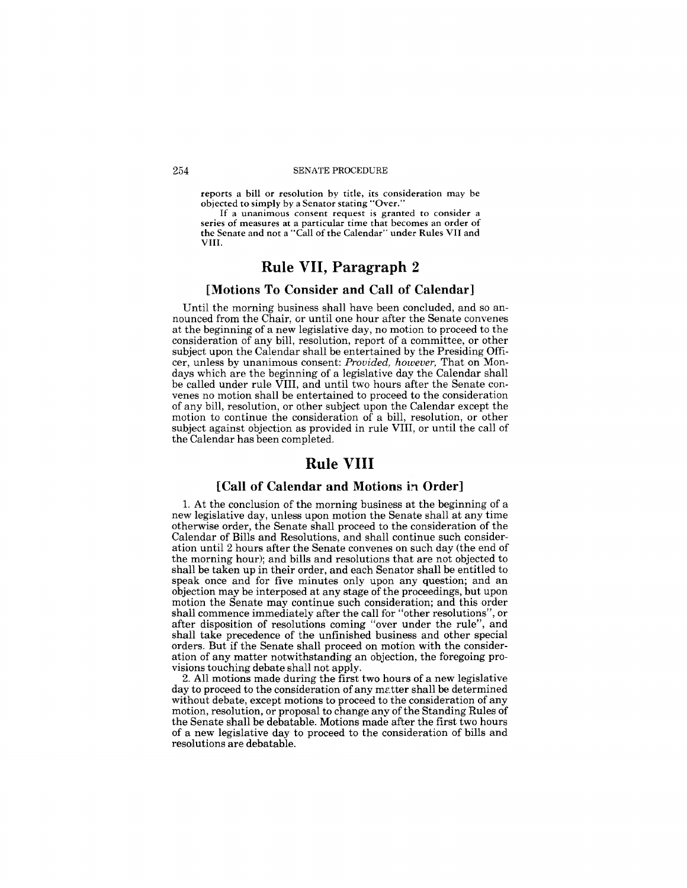#### 254 SENATE PROCEDURE

reports a bill or resolution by title, its consideration may be objected to simply by a Senator stating "Over."

If a unanimous consent request is granted to consider a series of measures at a particular time that becomes an order of the Senate and not a "Call of the Calendar" under Rules VII and VIII.

# **Rule VII, Paragraph 2**

#### **[Motions To Consider and Call of Calendar]**

Until the morning business shall have been concluded, and so announced from the Chair, or until one hour after the Senate convenes at the beginning of a new legislative day, no motion to proceed to the consideration of any bill, resolution, report of a committee, or other subject upon the Calendar shall be entertained by the Presiding Officer, unless by unanimous consent: *Provided, however,* That on Mondays which are the beginning of a legislative day the Calendar shall be called under rule VIII, and until two hours after the Senate convenes no motion shall be entertained to proceed to the consideration of any bill, resolution, or other subject upon the Calendar except the motion to continue the consideration of a bill, resolution, or other subject against objection as provided in rule VIII, or until the call of the Calendar has been completed.

# **Rule VIII**

### **[Call of Calendar and Motions in Order]**

1. At the conclusion of the morning business at the beginning of a new legislative day, unless upon motion the Senate shall at any time otherwise order, the Senate shall proceed to the consideration of the Calendar of Bills and Resolutions, and shall continue such consideration until 2 hours after the Senate convenes on such day (the end of the morning hour); and bills and resolutions that are not objected to shall be taken up in their order, and each Senator shall be entitled to speak once and for five minutes only upon any question; and an objection may be interposed at any stage of the proceedings, but upon motion the Senate may continue such consideration; and this order shall commence immediately after the call for "other resolutions", or after disposition of resolutions coming "over under the rule", and shall take precedence of the unfinished business and other special orders. But if the Senate shall proceed on motion with the consideration of any matter notwithstanding an objection, the foregoing provisions touching debate shall not apply.

2. All motions made during the first two hours of a new legislative day to proceed to the consideration of any matter shall be determined without debate, except motions to proceed to the consideration of any motion, resolution, or proposal to change any of the Standing Rules of the Senate shall be debatable. Motions made after the first two hours of a new legislative day to proceed to the consideration of bills and resolutions are debatable.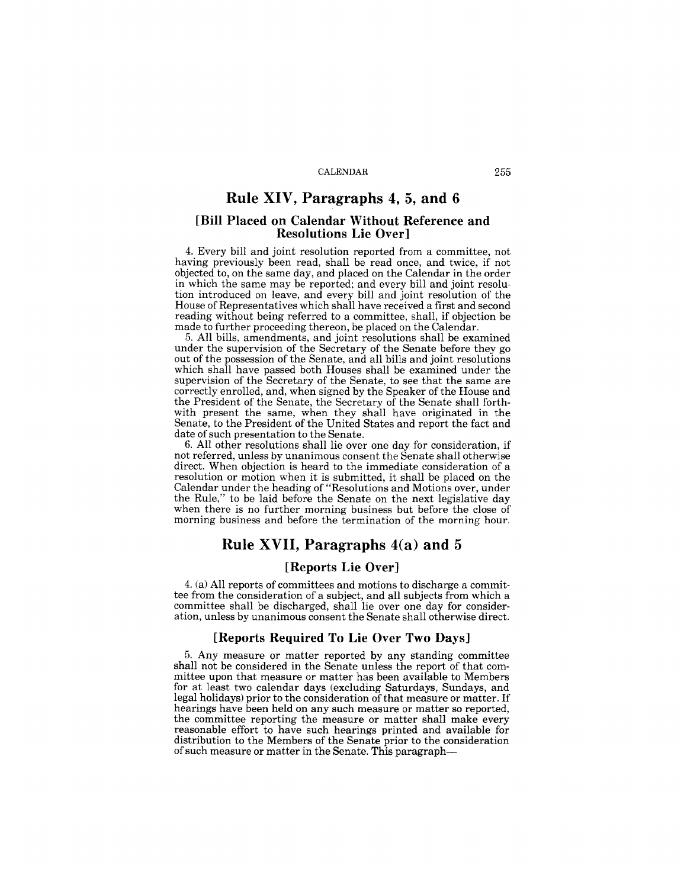# **Rule XIV, Paragraphs 4, 5, and 6**

### **[Bill Placed on Calendar Without Reference and Resolutions Lie Over]**

4. Every bill and joint resolution reported from a committee, not having previously been read, shall be read once, and twice, if not objected to, on the same day, and placed on the Calendar in the order in which the same may be reported; and every bill and joint resolution introduced on leave, and every bill and joint resolution of the House of Representatives which shall have received a first and second reading without being referred to a committee, shall, if objection be made to further proceeding thereon, be placed on the Calendar.

5. All bills, amendments, and joint resolutions shall be examined under the supervision of the Secretary of the Senate before they go out of the possession of the Senate, and all bills and joint resolutions which shall have passed both Houses shall be examined under the supervision of the Secretary of the Senate, to see that the same are correctly enrolled, and, when signed by the Speaker of the House and the President of the Senate, the Secretary of the Senate shall forthwith present the same, when they shall have originated in the Senate, to the President of the United States and report the fact and date of such presentation to the Senate.

6. All other resolutions shall lie over one day for consideration, if not referred, unless by unanimous consent the Senate shall otherwise direct. When objection is heard to the immediate consideration of a resolution or motion when it is submitted, it shall be placed on the Calendar under the heading of "Resolutions and Motions over, under the Rule," to be laid before the Senate on the next legislative day when there is no further morning business but before the close of morning business and before the termination of the morning hour.

# **Rule XVII, Paragraphs 4(a) and 5**

### **[Reports Lie Over]**

4. (a) All reports of committees and motions to discharge a committee from the consideration of a subject, and all subjects from which a committee shall be discharged, shall lie over one day for consideration, unless by unanimous consent the Senate shall otherwise direct.

#### **[Reports Required To Lie Over Two Days]**

5. Any measure or matter reported by any standing committee shall not be considered in the Senate unless the report of that committee upon that measure or matter has been available to Members for at least two calendar days (excluding Saturdays, Sundays, and legal holidays) prior to the consideration of that measure or matter. If hearings have been held on any such measure or matter so reported, the committee reporting the measure or matter shall make every reasonable effort to have such hearings printed and available for distribution to the Members of the Senate prior to the consideration of such measure or matter in the Senate. This paragraph-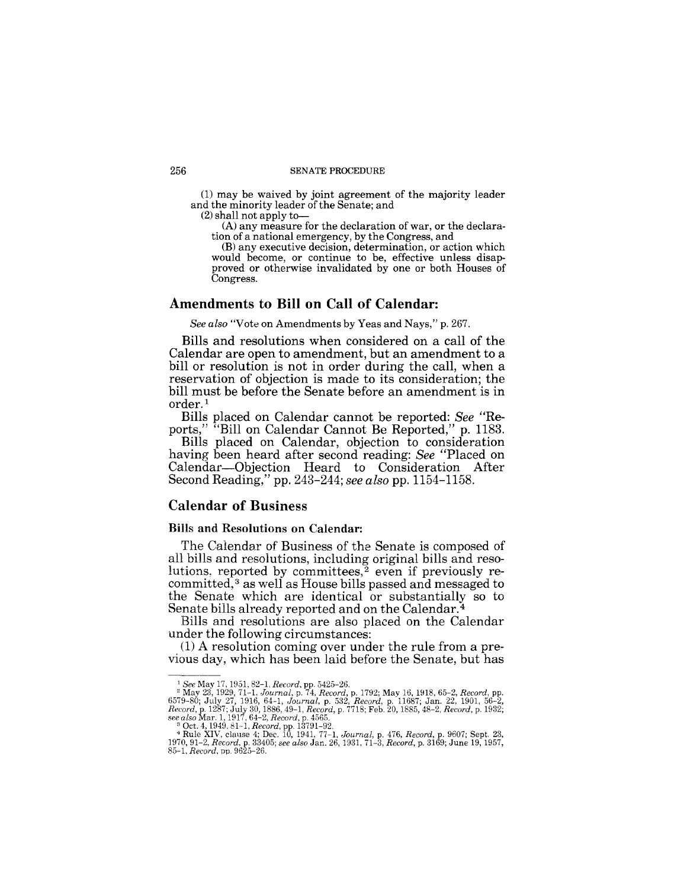(1) may be waived by joint agreement of the majority leader and the minority leader of the Senate; and

(2) shall not apply to-

(A) any measure for the declaration of war, or the declaration of a national emergency, by the Congress, and

(B) any executive decision, determination, or action which would become, or continue to be, effective unless disapproved or otherwise invalidated by one or both Houses of Congress.

# **Amendments to Bill on Call of Calendar:**

*See also* "Vote on Amendments by Yeas and Nays," p. 267.

Bills and resolutions when considered on a call of the Calendar are open to amendment, but an amendment to a bill or resolution is not in order during the call, when a reservation of objection is made to its consideration; the bill must be before the Senate before an amendment is in order. <sup>1</sup>

Bills placed on Calendar cannot be reported: *See* "Reports," "Bill on Calendar Cannot Be Reported," p. 1183.

Bills placed on Calendar, objection to consideration having been heard after second reading: *See* "Placed on Calendar-Objection Heard to Consideration After Second Reading," pp. 243-244; *see also* pp. 1154-1158.

# **Calendar of Business**

## Bills and Resolutions on Calendar:

The Calendar of Business of the Senate is composed of all bills and resolutions, including original bills and resolutions, reported by committees,<sup>2</sup> even if previously recommitted,3 as well as House bills passed and messaged to the Senate which are identical or substantially so to Senate bills already reported and on the Calendar.4

Bills and resolutions are also placed on the Calendar under the following circumstances:

(1) A resolution coming over under the rule from a previous day, which has been laid before the Senate, but has

<sup>&</sup>lt;sup>1</sup> See May 17, 1951, 82-1, Record, pp. 5425-26.<br>
<sup>2</sup> May 16, 1918, 65-2, Record, pp. 6425-26.<br>
<sup>2</sup> May 23, 1929, 71-1, Journal, p. 74, Record, p. 1792; May 16, 1918, 65-2, Record, pp.<br>
6579-80; July 27, 1916, 64-1, Recor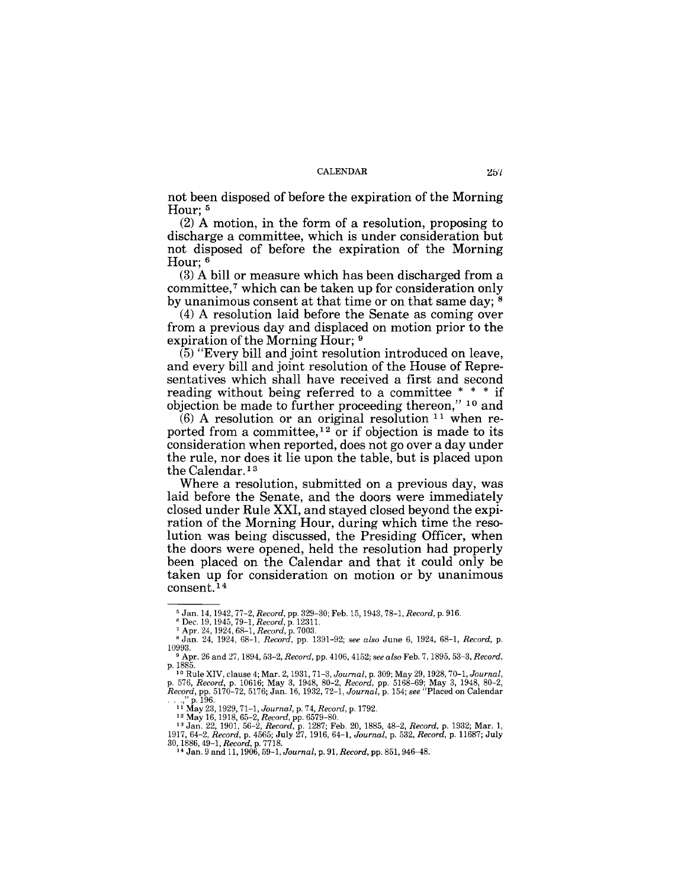not been disposed of before the expiration of the Morning Hour; 5

(2) A motion, in the form of a resolution, proposing to discharge a committee, which is under consideration but not disposed of before the expiration of the Morning Hour; 6

(3) A bill or measure which has been discharged from a committee,7 which can be taken up for consideration only by unanimous consent at that time or on that same day; 8

(4) A resolution laid before the Senate as coming over from a previous day and displaced on motion prior to the expiration of the Morning Hour; <sup>9</sup>

(5) "Every bill and joint resolution introduced on leave, and every bill and joint resolution of the House of Representatives which shall have received a first and second reading without being referred to a committee \* \* \* if objection be made to further proceeding thereon," 10 and

 $(6)$  A resolution or an original resolution  $11$  when reported from a committee,<sup>12</sup> or if objection is made to its consideration when reported, does not go over a day under the rule, nor does it lie upon the table, but is placed upon the Calendar.<sup>13</sup>

Where a resolution, submitted on a previous day, was laid before the Senate, and the doors were immediately closed under Rule XXI, and stayed closed beyond the expiration of the Morning Hour, during which time the resolution was being discussed, the Presiding Officer, when the doors were opened, held the resolution had properly been placed on the Calendar and that it could only be taken up for consideration on motion or by unanimous consent. 14

11 May 23,1929,71-1, *Journal,* p. 74, *Record,* p.1792. 12 May 16, 1918, 65-2, *Record,* pp. 6579-80.

13 Jan. 22, 1901, 56-2, *Record,* p. 1287; Feb. 20, 1885, 48-2, *Record,* p. 1932; Mar. 1, *1917,64-2, Record,* p. 4565; July 27,1916,64-1, *Journal,* p. 532, *Record,* p. 11687; July 30, 1886, 49-1, *Record,* p. 7718. 14 Jan. 9 and 11, 1906, 59-1, *Journal,* p. 91, *Record,* pp. 851, 946-48.

<sup>&</sup>lt;sup>5</sup> Jan. 14, 1942, 77-2, *Record*, pp. 329-30; Feb. 15, 1943, 78-1, *Record*, p. 916.<br>
<sup>6</sup> Dec. 19, 1945, 79-1, *Record*, p. 12311.<br>
<sup>7</sup> Apr. 24, 1924, 68-1, *Record*, p. 7003.<br>
<sup>8</sup> Jan. 24, 1924, 68-1, *Record*, pp. 1391-

<sup>10993.</sup> 

<sup>9</sup> Apr. 26 and 27,1894,53-2, *Record,* pp. 4106, 4152; *see also* Feb. 7, 1895, 53-3, *Record,* 

p. 1885.<br>1º Rule XIV, clause 4; Mar. 2, 1931, 71–3, Journal, p. 309; May 29, 1928, 70–1, Journal, p. 576, *Record*, p. 10616; May 3, 1948, 80–2, *Record*, pp. 5170–72, 5176; Jan. 16, 1932, 72–1, Journal, p. 1543, see "Plac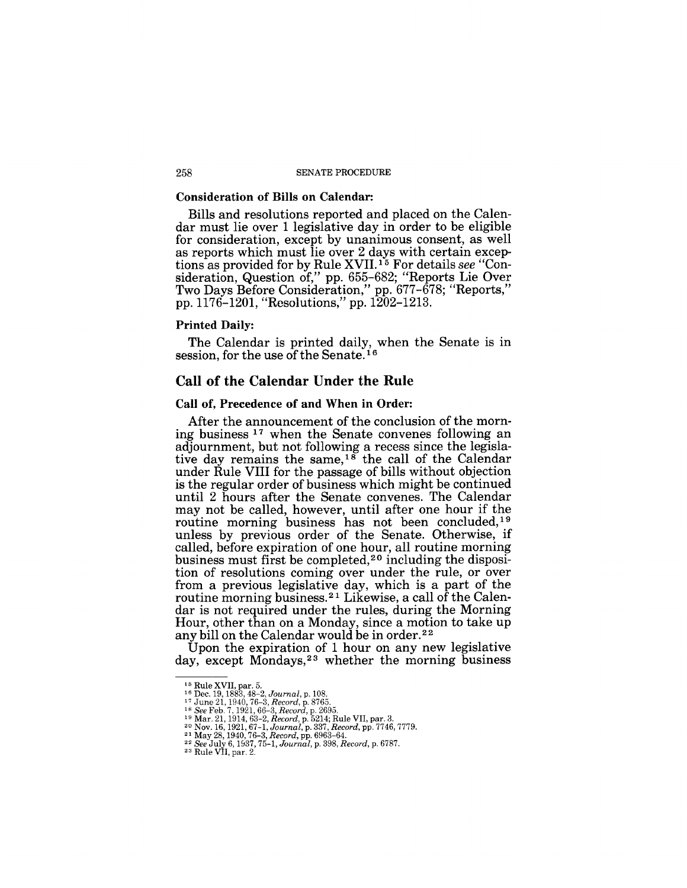## Consideration of Bills on Calendar:

Bills and resolutions reported and placed on the Calendar must lie over 1 legislative day in order to be eligible for consideration, except by unanimous consent, as well as reports which must lie over 2 days with certain exceptions as provided for by Rule XVII. 15 For details *see* "Consideration, Question of," pp. 655-682; "Reports Lie Over Two Days Before Consideration," pp. 677-678; "Reports," pp. 1176-1201, "Resolutions," pp. 1202-1213.

#### Printed Daily:

The Calendar is printed daily, when the Senate is in session, for the use of the Senate.<sup>16</sup>

### Call of the Calendar Under the Rule

## Call of, Precedence of and When in Order:

After the announcement of the conclusion of the morning business 17 when the Senate convenes following an adjournment, but not following a recess since the legislative day remains the same,<sup>18</sup> the call of the Calendar under Rule VIII for the passage of bills without objection is the regular order of business which might be continued until 2 hours after the Senate convenes. The Calendar may not be called, however, until after one hour if the routine morning business has not been concluded,<sup>19</sup> unless by previous order of the Senate. Otherwise, if called, before expiration of one hour, all routine morning business must first be completed,20 including the disposition of resolutions coming over under the rule, or over from a previous legislative day, which is a part of the routine morning business.<sup>21</sup> Likewise, a call of the Calendar is not required under the rules, during the Morning Hour, other than on a Monday, since a motion to take up any bill on the Calendar would be in order.<sup>22</sup>

Upon the expiration of 1 hour on any new legislative day, except Mondays,<sup>23</sup> whether the morning business

<sup>&</sup>lt;sup>15</sup> Rule XVII, par. 5.<br>
<sup>15</sup> Rule XVII, par. 5.<br>
<sup>17</sup> June 21, 1940, 76-3, *Record*, p. 8765.<br>
<sup>17</sup> June 21, 1940, 76-3, *Record*, p. 8765.<br>
<sup>18</sup> See Feb. 7, 1921, 66-3, *Record*, p. 2895.<br>
<sup>19</sup> Mar. 21, 1914, 63-2, *Reco*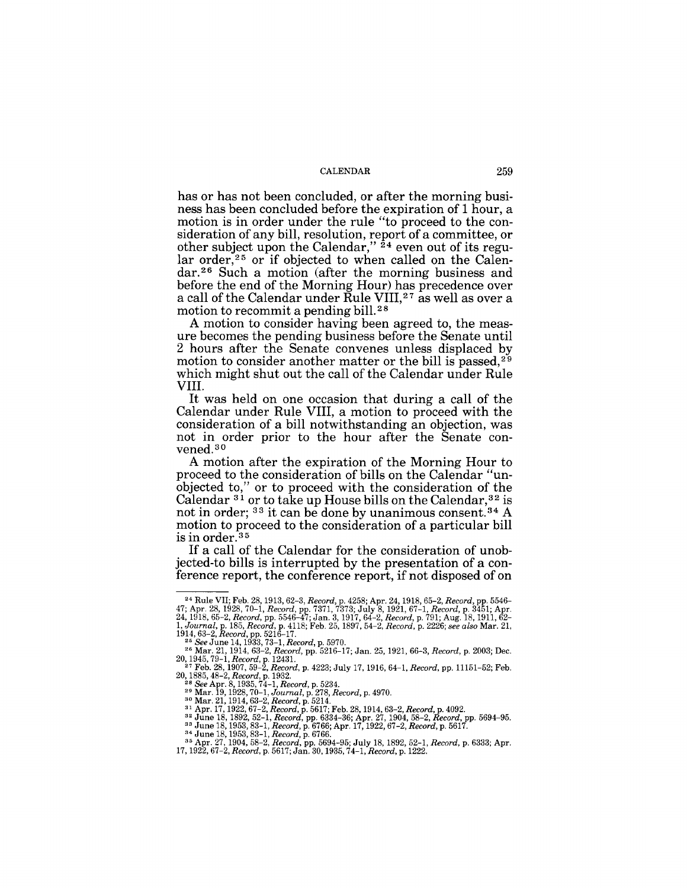has or has not been concluded, or after the morning business has been concluded before the expiration of 1 hour, a motion is in order under the rule "to proceed to the consideration of any bill, resolution, report of a committee, or other subject upon the Calendar,"  $24$  even out of its regular order,<sup>25</sup> or if objected to when called on the Calendar.26 Such a motion (after the morning business and before the end of the Morning Hour) has precedence over a call of the Calendar under Rule VIII,<sup>27</sup> as well as over a motion to recommit a pending bill.<sup>28</sup>

A motion to consider having been agreed to, the measure becomes the pending business before the Senate until 2 hours after the Senate convenes unless displaced by motion to consider another matter or the bill is passed,  $2^9$ which might shut out the call of the Calendar under Rule VIII.

It was held on one occasion that during a call of the Calendar under Rule VIII, a motion to proceed with the consideration of a bill notwithstanding an objection, was not in order prior to the hour after the Senate convened. 30

A motion after the expiration of the Morning Hour to proceed to the consideration of bills on the Calendar "unobjected to," or to proceed with the consideration of the Calendar  $3^1$  or to take up House bills on the Calendar,  $3^2$  is not in order; <sup>33</sup> it can be done by unanimous consent.<sup>34</sup> A motion to proceed to the consideration of a particular bill is in order.35

If a call of the Calendar for the consideration of unobjected-to bills is interrupted by the presentation of a conference report, the conference report, if not disposed of on

<sup>&</sup>lt;sup>24</sup> Rule VII; Feb. 28, 1913, 62–3, *Record*, p. 4258; Apr. 24, 1918, 65–2, *Record*, pp. 5546–47; Apr. 28, 1928, 70–1, *Record*, pp. 7371, 7373; July 8, 1921, 67–1, *Record*, pp. 3451; Apr. 24, 1918, 65–2, *Record*, pp.

*<sup>20,1945,79-1,</sup> Record,* p. 1243l. 27 Feb. 28, 1907, 59-2, *Record,* p. 4223; July 17,1916,64-1, *Record,* pp. 11151-52; Feb.

<sup>20, 1885, 48-2,</sup> Record, p. 1932.<br>
<sup>28</sup> See Apr. 8, 1935, 74-1, Record, p. 5234.<br>
<sup>29</sup> Mar. 19, 1928, 70-1, Journal, p. 278, Record, p. 4970.<br>
<sup>30</sup> Mar. 21, 1914, 63-2, Record, p. 5214.<br>
<sup>31</sup> Apr. 17, 1922, 67-2, Record, p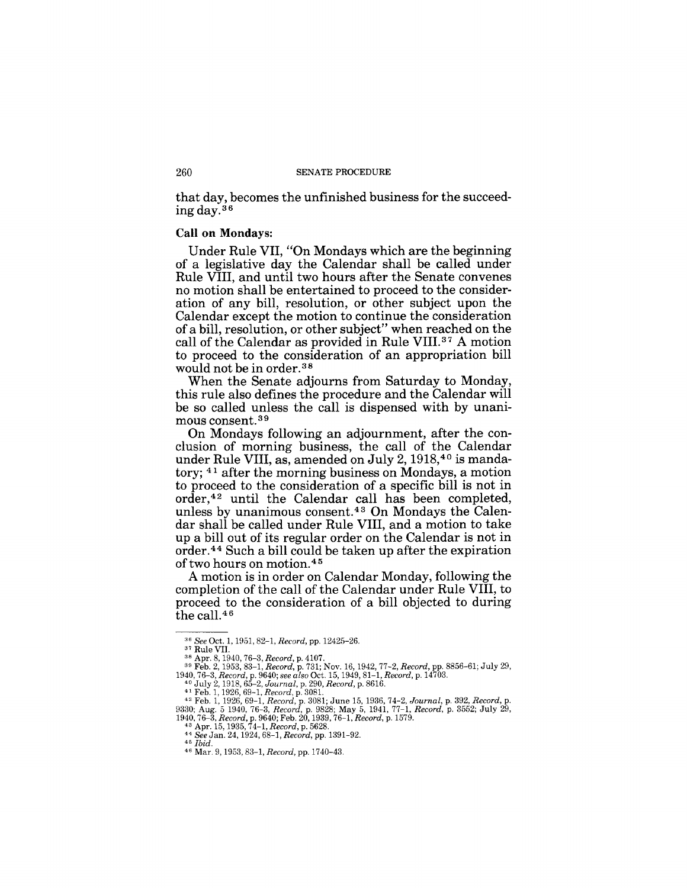that day, becomes the unfinished business for the succeeding day.36

#### Call on Mondays:

Under Rule VII, "On Mondays which are the beginning of a legislative day the Calendar shall be called under Rule VIII, and until two hours after the Senate convenes no motion shall be entertained to proceed to the consideration of any bill, resolution, or other subject upon the Calendar except the motion to continue the consideration of a bill, resolution, or other subject" when reached on the call of the Calendar as provided in Rule VIII.<sup>37</sup> A motion to proceed to the consideration of an appropriation bill would not be in order.<sup>38</sup>

When the Senate adjourns from Saturday to Monday, this rule also defines the procedure and the Calendar will be so called unless the call is dispensed with by unanimous consent. 39

On Mondays following an adjournment, after the conclusion of morning business, the call of the Calendar under Rule VIII, as, amended on July 2,1918,40 is mandatory; 41 after the morning business on Mondays, a motion to proceed to the consideration of a specific bill is not in order,42 until the Calendar call has been completed, unless by unanimous consent.43 On Mondays the Calendar shall be called under Rule VIII, and a motion to take up a bill out of its regular order on the Calendar is not in order.44 Such a bill could be taken up after the expiration of two hours on motion.4 5

A motion is in order on Calendar Monday, following the completion of the call of the Calendar under Rule VIII, to proceed to the consideration of a bill objected to during the call.46

*<sup>36</sup> See* Oct. 1,1951,82-1, *Record,* pp. 12425-26.

<sup>&</sup>lt;sup>37</sup> Rule VII.

<sup>&</sup>lt;sup>38</sup> Apr. 8, 1940, 76–3, *Record,* p. 4107.<br><sup>39</sup> Feb. 2, 1953, 83–1, *Record*, p. 731; Nov. 16, 1942, 77–2, *Record,* pp. 8856–61; July 29, 1940, 76–3, *Record*, p. 9640; *see also* Oct. 15, 1949, 81–1, *Record*, p. 14703.<br><sup>40</sup> July 2, 1918, 65–2, Journal, p. 290, *Record*, p. 8616.<br><sup>41</sup> Feb. 1, 1926, 69–1, *Record*, p. 3081.<br><sup>41</sup> Feb. 1, 1926, 69–1, *Record*,

<sup>9330;</sup> Aug. 5 1940, 76-3, *Record,* p. 9828; May 5, 1941, 77-1, *Record,* p. 3552; July 29, 1940, *76-3,Record,p.* 9640; Feb. 20, 1939, 76-1, *Record,* p. 1579 . 43 Apr. 15, 1935,74-1, *Record,* p. 5628. *44 See* Jan. 24, 1924, 68-1, *Record,* pp. 1391-92. 45 *Ibid.* 

<sup>46</sup> Mar. 9, 1953, 83-1, *Record,* pp.1740-43.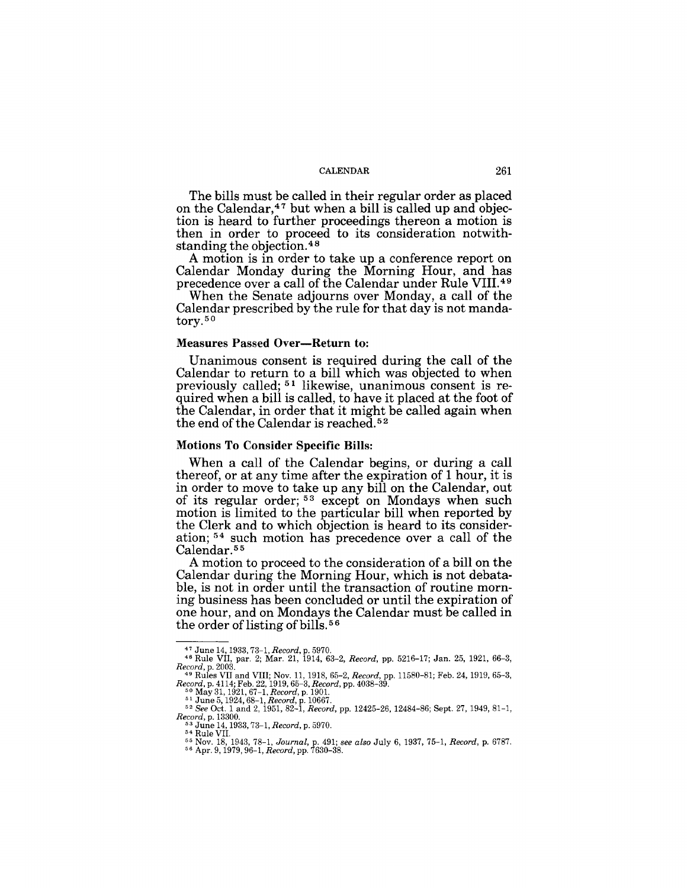The bills must be called in their regular order as placed on the Calendar, $47$  but when a bill is called up and objection is heard to further proceedings thereon a motion is then in order to proceed to its consideration notwithstanding the objection.<sup>48</sup>

A motion is in order to take up a conference report on Calendar Monday during the Morning Hour, and has precedence over a call of the Calendar under Rule VIII.<sup>49</sup>

When the Senate adjourns over Monday, a call of the Calendar prescribed by the rule for that day is not mandatory. 50

#### Measures Passed Over--Return to:

Unanimous consent is required during the call of the Calendar to return to a bill which was objected to when previously called; 51 likewise, unanimous consent is required when a bill is called, to have it placed at the foot of the Calendar, in order that it might be called again when the end of the Calendar is reached.<sup>52</sup>

#### Motions To Consider Specific Bills:

When a call of the Calendar begins, or during a call thereof, or at any time after the expiration of 1 hour, it is in order to move to take up any bill on the Calendar, out of its regular order;  $53$  except on Mondays when such motion is limited to the particular bill when reported by the Clerk and to which objection is heard to its consideration; 54 such motion has precedence over a call of the Calendar.<sup>55</sup>

A motion to proceed to the consideration of a bill on the Calendar during the Morning Hour, which is not debatable, is not in order until the transaction of routine morning business has been concluded or until the expiration of one hour, and on Mondays the Calendar must be called in the order of listing of bills. 5 6

<sup>47</sup> June 14, 1933,73-1, *Record,* p. 5970. 48 Rule VII, par. 2; Mar. 21, 1914, 63-2, *Record,* pp. 5216-17; Jan. 25, 1921, 66-3, *Record,* p. 2003. 49 Rules VII and VIII; Nov. 11, 1918, 65-2, *Record,* pp. 11580-81; Feb. 24, 1919, 65-3,

Record, p. 4114; Feb. 22, 1919, 65–3, Record, pp. 4038–39.<br><sup>50</sup> May 31, 1921, 67–1, Record, p. 1901.<br><sup>51</sup> June 5, 1924, 68–1, Record, p. 19067.<br><sup>51</sup> June 5, 1924, 68–1, Record, pp. 12425–26, 12484–86; Sept. 27, 1949, 81–1,

*Record,* p. 13300. 53 June 14, 1933,73-1, *Record,* p. 5970. 54 Rule VII.

<sup>&</sup>lt;sup>55</sup> Nov. 18, 1943, 78–1, *Journal*, p. 491; *see also* July 6, 1937, 75–1, *Record*, p. 6787.<br><sup>56</sup> Apr. 9, 1979, 96–1, *Record*, pp. 7630–38.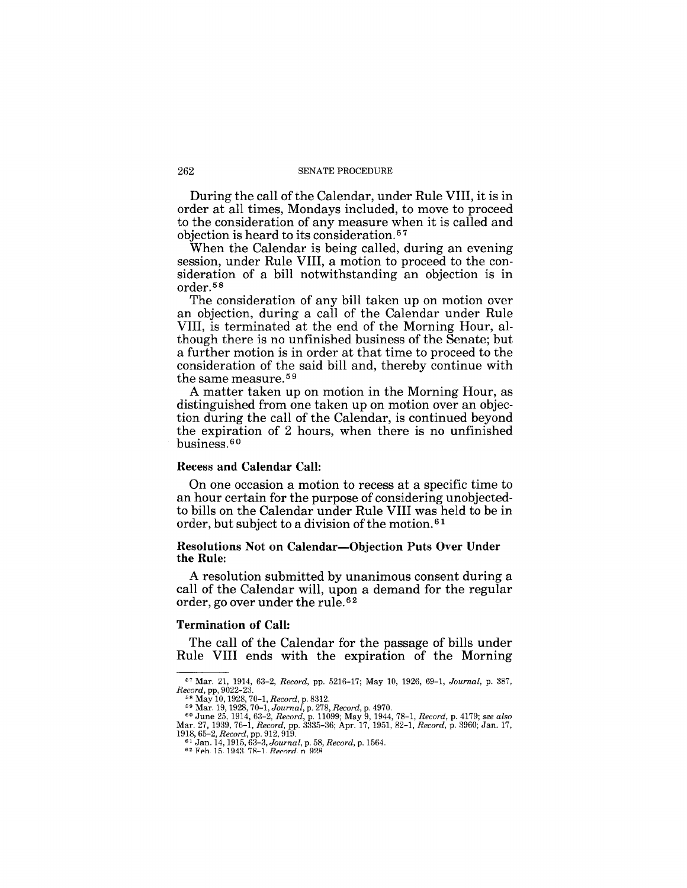#### 262 SENATE PROCEDURE

During the call of the Calendar, under Rule VIII, it is in order at all times, Mondays included, to move to proceed to the consideration of any measure when it is called and objection is heard to its consideration. 57

When the Calendar is being called, during an evening session, under Rule VIII, a motion to proceed to the consideration of a bill notwithstanding an objection is in order. 58

The consideration of any bill taken up on motion over an objection, during a call of the Calendar under Rule VIII, is terminated at the end of the Morning Hour, although there is no unfinished business of the Senate; but a further motion is in order at that time to proceed to the consideration of the said bill and, thereby continue with the same measure. 5 9

A matter taken up on motion in the Morning Hour, as distinguished from one taken up on motion over an objection during the call of the Calendar, is continued beyond the expiration of 2 hours, when there is no unfinished business. 6o

#### Recess and Calendar Call:

On one occasion a motion to recess at a specific time to an hour certain for the purpose of considering unobjectedto bills on the Calendar under Rule VIII was held to be in order, but subject to a division of the motion.  $61$ 

#### Resolutions Not on Calendar-Objection Puts Over Under the Rule:

A resolution submitted by unanimous consent during a call of the Calendar will, upon a demand for the regular order, go over under the rule. <sup>62</sup>

#### Termination of Call:

The call of the Calendar for the passage of bills under Rule VIII ends with the expiration of the Morning

<sup>57</sup> Mar. 21, 1914, 63-2, *Record,* pp. 5216-17; May 10, 1926, 69-1, *Journal,* p. 387, *Record,* pp, 9022-23.

<sup>58</sup> May 10, 1928, 70-1, *Record,* p. 8312.

<sup>&</sup>lt;sup>59</sup> Mar. 19, 1928, 70–1, Journal, p. 278, Record, p. 4970.<br><sup>60</sup> June 25, 1914, 63–2, Record, p. 11099; May 9, 1944, 78–1, Record, p. 4179; see also<br>Mar. 27, 1939, 76–1, Record, pp. 3335–36; Apr. 17, 1951, 82–1, Record, p. 1918, 65–2, *Record*, pp. 912, 919.<br>
<sup>61</sup> Jan. 14, 1915, 63–3, *Journal*, p. 58, *Record*, p. 1564.<br>
<sup>62</sup> Feh. 15, 1948, 78–1, *Record,* p. 928.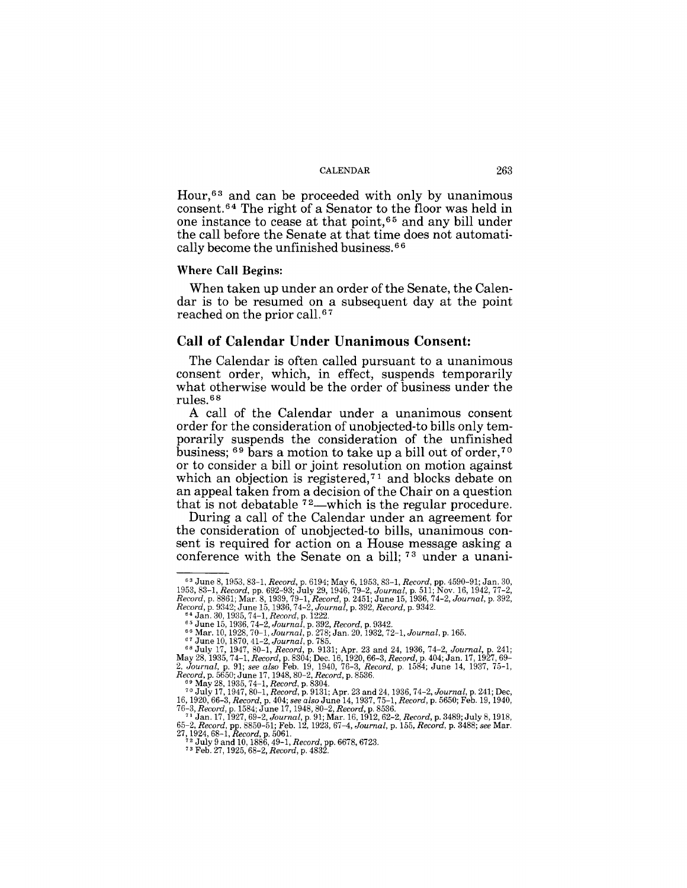Hour,63 and can be proceeded with only by unanimous consent. 64 The right of a Senator to the floor was held in one instance to cease at that point,<sup>65</sup> and any bill under the call before the Senate at that time does not automatically become the unfinished business.<sup>66</sup>

#### Where Call Begins:

When taken up under an order of the Senate, the Calendar is to be resumed on a subsequent day at the point reached on the prior call.<sup>67</sup>

## **Call of Calendar Under Unanimous Consent:**

The Calendar is often called pursuant to a unanimous consent order, which, in effect, suspends temporarily what otherwise would be the order of business under the rules. 68

A call of the Calendar under a unanimous consent order for the consideration of unobjected-to bills only temporarily suspends the consideration of the unfinished business;  $69$  bars a motion to take up a bill out of order,  $70$ or to consider a bill or joint resolution on motion against which an objection is registered,<sup> $71$ </sup> and blocks debate on an appeal taken from a decision of the Chair on a question that is not debatable  $72$ —which is the regular procedure.

During a call of the Calendar under an agreement for the consideration of unobjected-to bills, unanimous consent is required for action on a House message asking a conference with the Senate on a bill; 73 under a unani-

<sup>&</sup>lt;sup>63</sup> June 8, 1953, 83-1, *Record, p.* 6194; May 6, 1953, 83-1, *Record, pp. 4590-91; Jan. 30,*<br>1953, 83-1, *Record, pp. 692-93; July 29, 1946, 79-2, Journal*, p. 511; Nov. 16, 1942, 77-2,<br>*Record, p. 8861; Mar. 8, 1939, 79* 

Record, p. 9342; June 15, 1936, 74-2, Journal, p. 392, Record, p. 9342.<br>
<sup>64</sup> Jan. 30, 1935, 74-1, Record, p. 1222.<br>
<sup>65</sup> June 15, 1936, 74-2, Journal, p. 232, Record, p. 9342.<br>
<sup>65</sup> June 15, 1936, 74-2, Journal, p. 278;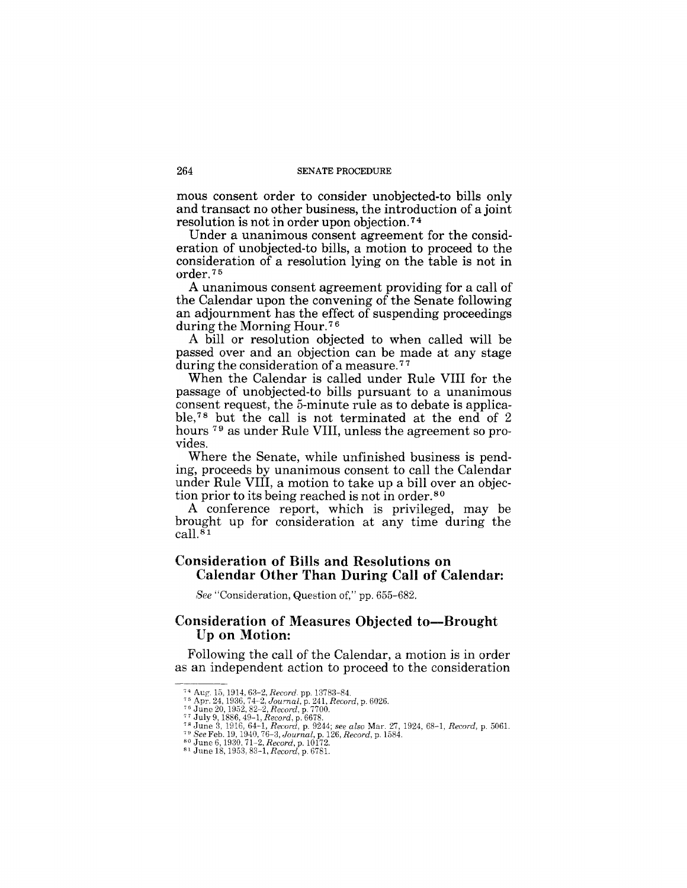mous consent order to consider unobjected-to bills only and transact no other business, the introduction of a joint resolution is not in order upon objection. 74

Under a unanimous consent agreement for the consideration of unobjected-to bills, a motion to proceed to the consideration of a resolution lying on the table is not in order. 75

A unanimous consent agreement providing for a call of the Calendar upon the convening of the Senate following an adjournment has the effect of suspending proceedings during the Morning Hour.7 6

A bill or resolution objected to when called will be passed over and an objection can be made at any stage during the consideration of a measure.<sup>77</sup>

When the Calendar is called under Rule VIII for the passage of unobjected-to bills pursuant to a unanimous consent request, the 5-minute rule as to debate is applicable,78 but the call is not terminated at the end of 2 hours 79 as under Rule VIII, unless the agreement so provides.

Where the Senate, while unfinished business is pending, proceeds by unanimous consent to call the Calendar under Rule VIII, a motion to take up a bill over an objection prior to its being reached is not in order.8o

A conference report, which is privileged, may be brought up for consideration at any time during the call. $81$ 

# Consideration of Bills and Resolutions on Calendar Other Than During Call of Calendar:

See "Consideration, Question of," pp. 655-682.

## Consideration of Measures Objected to-Brought Up on Motion:

Following the call of the Calendar, a motion is in order as an independent action to proceed to the consideration

<sup>&</sup>lt;sup>74</sup> Aug. 15, 1914, 63-2, *Record*. pp. 13783-84.

<sup>&</sup>lt;sup>75</sup> Apr. 24, 1936, 74–2*, Journal, p. 241, Record, p. 6026.*<br><sup>76</sup> June 20, 1952, 82–2*, Record, p.* 7700.<br><sup>77</sup> July 9, 1886, 49–1, *Record, p. 1*678.<br><sup>77</sup> July 9, 1916, 64–1*, Record, p. 9244; see also Mar. 2*7, 1924, 68–

<sup>79</sup>*See* Feb. 19, 1940, 76-3, *Journal,* p. 126, *Record,* p. 1584. 80 June 6, 1930, 71-2, *Record,* p. 10172.

<sup>81</sup> June 18, 1953. 83-1, *Record,* p. 6781.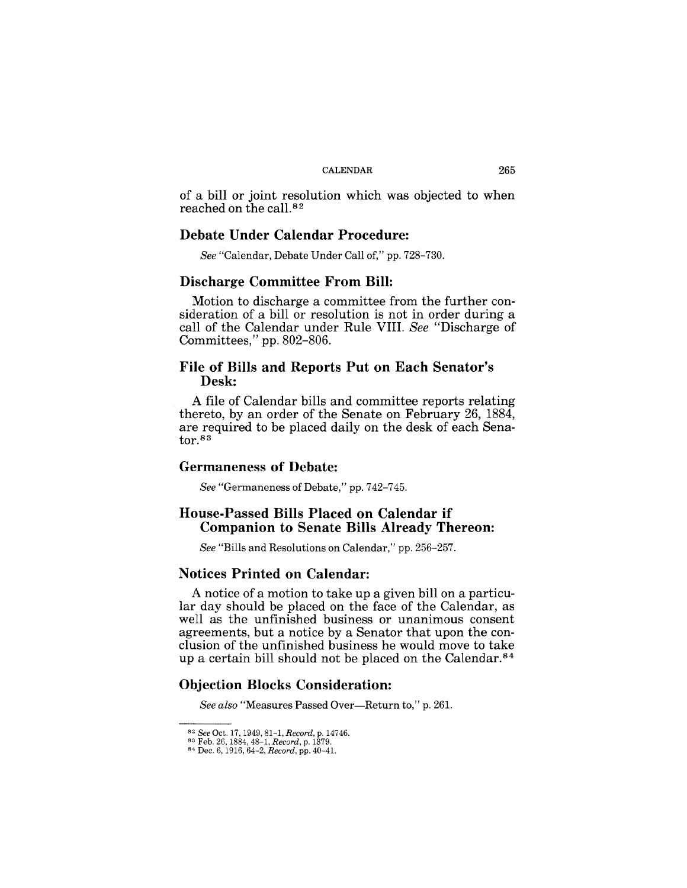of a bill or joint resolution which was objected to when reached on the call. 8 <sup>2</sup>

## **Debate Under Calendar Procedure:**

*See* "Calendar, Debate Under Call of," pp. 728-730.

### **Discharge Committee From Bill:**

Motion to discharge a committee from the further consideration of a bill or resolution is not in order during a call of the Calendar under Rule VIII. *See* "Discharge of Committees," pp. 802-806.

## **File of Bills and Reports Put on Each Senator's Desk:**

A file of Calendar bills and committee reports relating thereto, by an order of the Senate on February 26, 1884, are required to be placed daily on the desk of each Senator.83

## **Germaneness of Debate:**

See "Germaneness of Debate," pp. 742-745.

## **House-Passed Bills Placed on Calendar if Companion to Senate Bills Already Thereon:**

*See* "Bills and Resolutions on Calendar," pp. 256-257.

# **Notices Printed on Calendar:**

A notice of a motion to take up a given bill on a particular day should be placed on the face of the Calendar, as well as the unfinished business or unanimous consent agreements, but a notice by a Senator that upon the conclusion of the unfinished business he would move to take up a certain bill should not be placed on the Calendar.84

# **Objection Blocks Consideration:**

*See also* "Measures Passed Over-Return to," p. 261.

*<sup>82</sup> See* Oct. 17, 1949, 81-1, *Record,* p. 14746. 83 Feb. 26, 1884,48-1, *Record,* p. 1379. 84 Dec. 6, 1916, 64-2, *Record,* pp. 40-41.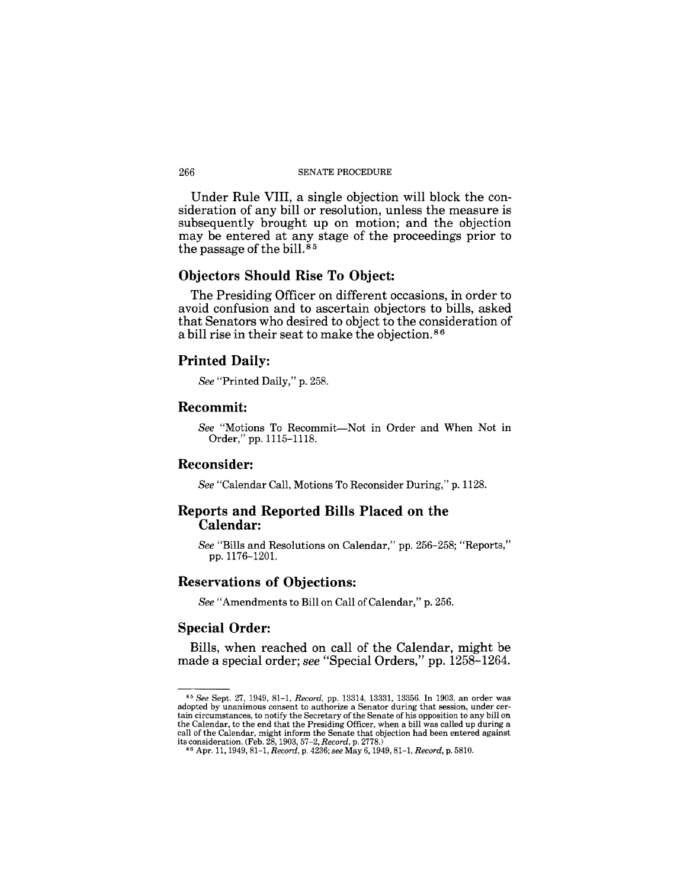#### 266 SENATE PROCEDURE

Under Rule VIII, a single objection will block the consideration of any bill or resolution, unless the measure is subsequently brought up on motion; and the objection may be entered at any stage of the proceedings prior to the passage of the bill.<sup>85</sup>

## **Objectors Should Rise To Object:**

The Presiding Officer on different occasions, in order to avoid confusion and to ascertain objectors to bills, asked that Senators who desired to object to the consideration of a bill rise in their seat to make the objection. 8 6

## **Printed Daily:**

*See* "Printed Daily," p. 258.

## **Recommit:**

*See* "Motions To Recommit-Not in Order and When Not in Order," pp. 1115-1118.

#### **Reconsider:**

*See* "Calendar Call, Motions To Reconsider During," p. 1128.

## **Reports and Reported Bills Placed on the Calendar:**

*See* "Bills and Resolutions on Calendar," pp. 256-258; "Reports," pp.1176-1201.

## **Reservations of Objections:**

*See* "Amendments to Bill on Call of Calendar," p. 256.

## Special Order:

Bills, when reached on call of the Calendar, might be made a special order; *see* "Special Orders," pp. 1258-1264.

*<sup>85</sup> See* Sept. 27, 1949, 81-1, *Record,* pp. 13314. 13331, 13356. In 1903, an order was adopted by unanimous consent to authorize a Senator during that session, under certain circumstances, to notify the Secretary of the Senate of his opposition to any bill on<br>the Calendar, to the end that the Presiding Officer, when a bill was called up during a<br>call of the Calendar, might inform the Sena its consideration. (Feb. 28, 1903, 57-2, *Record,* p. 2778.) 86 Apr. 11, 1949, 81-1, *Record,* p. 4236; *see* May 6,1949,81-1, *Record,* p. 5810.